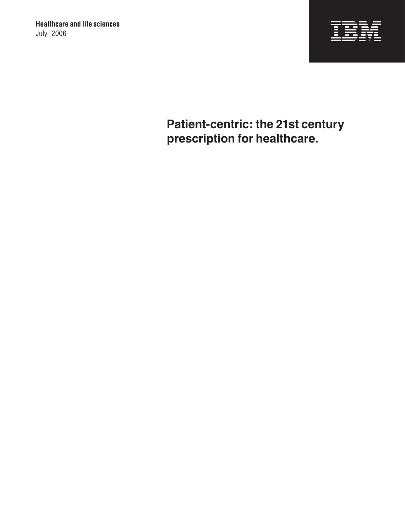

**Patient-centric: the 21st century prescription for healthcare.**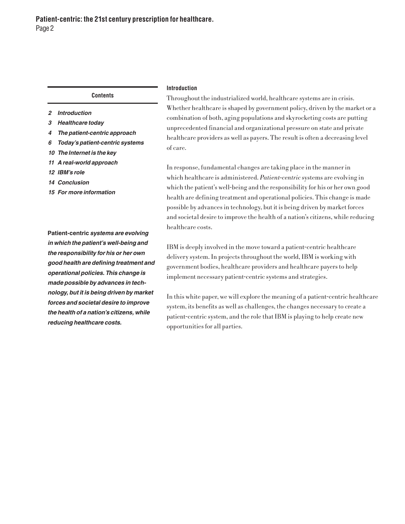**Contents**

- *2 Introduction*
- *3 Healthcare today*
- *4 The patient-centric approach*
- *6 Today's patient-centric systems*
- *10 The Internet is the key*
- *11 A real-world approach*
- *12 IBM's role*
- *14 Conclusion*
- *15 For more information*

**Patient-centric** *systems are evolving in which the patient's well-being and the responsibility for his or her own good health are defining treatment and operational policies. This change is made possible by advances in technology, but it is being driven by market forces and societal desire to improve the health of a nation's citizens, while reducing healthcare costs.*

# **Introduction**

Throughout the industrialized world, healthcare systems are in crisis. Whether healthcare is shaped by government policy, driven by the market or a combination of both, aging populations and skyrocketing costs are putting unprecedented financial and organizational pressure on state and private healthcare providers as well as payers. The result is often a decreasing level of care.

In response, fundamental changes are taking place in the manner in which healthcare is administered. Patient-centric systems are evolving in which the patient's well-being and the responsibility for his or her own good health are defining treatment and operational policies. This change is made possible by advances in technology, but it is being driven by market forces and societal desire to improve the health of a nation's citizens, while reducing healthcare costs.

IBM is deeply involved in the move toward a patient-centric healthcare delivery system. In projects throughout the world, IBM is working with government bodies, healthcare providers and healthcare payers to help implement necessary patient-centric systems and strategies.

In this white paper, we will explore the meaning of a patient-centric healthcare system, its benefits as well as challenges, the changes necessary to create a patient-centric system, and the role that IBM is playing to help create new opportunities for all parties.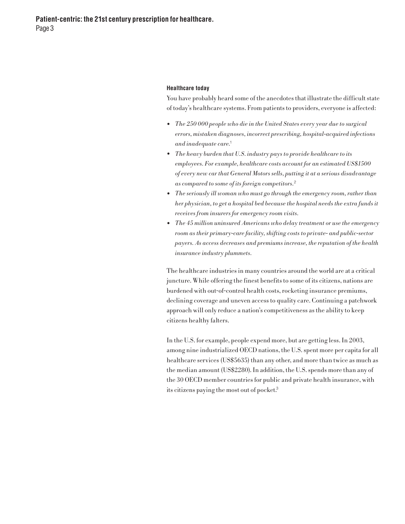**Patient-centric: the 21st century prescription for healthcare.** Page 3

#### **Healthcare today**

You have probably heard some of the anecdotes that illustrate the difficult state of today's healthcare systems. From patients to providers, everyone is affected:

- The 250 000 people who die in the United States every year due to surgical errors, mistaken diagnoses, incorrect prescribing, hospital-acquired infections and inadequate care.<sup>1</sup>
- The heavy burden that U.S. industry pays to provide healthcare to its employees. For example, healthcare costs account for an estimated US\$1500 of every new car that General Motors sells, putting it at a serious disadvantage as compared to some of its foreign competitors.<sup>2</sup>
- The seriously ill woman who must go through the emergency room, rather than her physician, to get a hospital bed because the hospital needs the extra funds it receives from insurers for emergency room visits.
- The 45 million uninsured Americans who delay treatment or use the emergency room as their primary-care facility, shifting costs to private- and public-sector payers. As access decreases and premiums increase, the reputation of the health insurance industry plummets.

The healthcare industries in many countries around the world are at a critical juncture. While offering the finest benefits to some of its citizens, nations are burdened with out-of-control health costs, rocketing insurance premiums, declining coverage and uneven access to quality care. Continuing a patchwork approach will only reduce a nation's competitiveness as the ability to keep citizens healthy falters.

In the U.S. for example, people expend more, but are getting less. In 2003, among nine industrialized OECD nations, the U.S. spent more per capita for all healthcare services (US\$5635) than any other, and more than twice as much as the median amount (US\$2280). In addition, the U.S. spends more than any of the 30 OECD member countries for public and private health insurance, with its citizens paying the most out of pocket. 3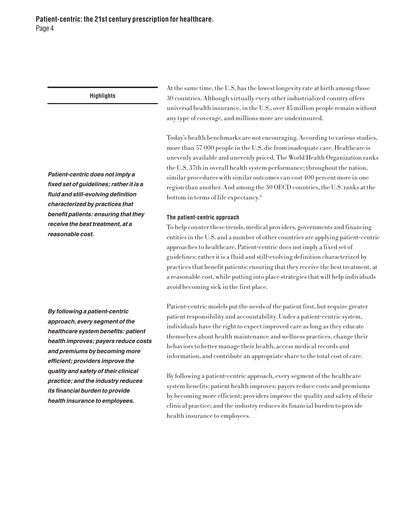*Patient-centric does not imply a fixed set of guidelines; rather it is a fluid and still-evolving definition characterized by practices that benefit patients: ensuring that they receive the best treatment, at a reasonable cost.*

At the same time, the U.S. has the lowest longevity rate at birth among those 30 countries. Although virtually every other industrialized country offers universal health insurance, in the U.S., over 45 million people remain without any type of coverage, and millions more are underinsured.

Today's health benchmarks are not encouraging. According to various studies, more than 57 000 people in the U.S. die from inadequate care. Healthcare is unevenly available and unevenly priced. The World Health Organization ranks the U.S. 37th in overall health system performance; throughout the nation, similar procedures with similar outcomes can cost 400 percent more in one region than another. And among the 30 OECD countries, the U.S. ranks at the bottom in terms of life expectancy.<sup>4</sup>

## **The patient-centric approach**

To help counter these trends, medical providers, governments and financing entities in the U.S. and a number of other countries are applying patient-centric approaches to healthcare. Patient-centric does not imply a fixed set of guidelines; rather it is a fluid and still-evolving definition characterized by practices that benefit patients: ensuring that they receive the best treatment, at a reasonable cost, while putting into place strategies that will help individuals avoid becoming sick in the first place.

Patient-centric models put the needs of the patient first, but require greater patient responsibility and accountability. Under a patient-centric system, individuals have the right to expect improved care as long as they educate themselves about health maintenance and wellness practices, change their behaviors to better manage their health, access medical records and information, and contribute an appropriate share to the total cost of care.

By following a patient-centric approach, every segment of the healthcare system benefits: patient health improves; payers reduce costs and premiums by becoming more efficient; providers improve the quality and safety of their clinical practice; and the industry reduces its financial burden to provide health insurance to employees.

*By following a patient-centric approach, every segment of the healthcare system benefits: patient health improves; payers reduce costs and premiums by becoming more efficient; providers improve the quality and safety of their clinical practice; and the industry reduces its financial burden to provide health insurance to employees.*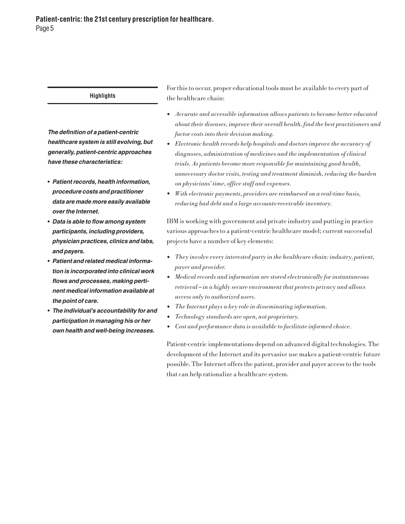*The definition of a patient-centric healthcare system is still evolving, but generally, patient-centric approaches have these characteristics:* 

- **•** *Patient records, health information, procedure costs and practitioner data are made more easily available over the Internet.*
- **•** *Data is able to flow among system participants, including providers, physician practices, clinics and labs, and payers.*
- **•** *Patient and related medical information is incorporated into clinical work flows and processes, making pertinent medical information available at the point of care.*
- **•** *The individual's accountability for and participation in managing his or her own health and well-being increases.*

For this to occur, proper educational tools must be available to every part of the healthcare chain:

- Accurate and accessible information allows patients to become better educated about their diseases, improve their overall health, find the best practitioners and factor costs into their decision making.
- Electronic health records help hospitals and doctors improve the accuracy of diagnoses, administration of medicines and the implementation of clinical trials. As patients become more responsible for maintaining good health, unnecessary doctor visits, testing and treatment diminish, reducing the burden on physicians' time, office staff and expenses.
- With electronic payments, providers are reimbursed on <sup>a</sup> real-time basis, reducing bad debt and a large accounts-receivable inventory.

IBM is working with government and private industry and putting in practice various approaches to a patient-centric healthcare model; current successful projects have a number of key elements:

- They involve every interested party in the healthcare chain: industry, patient, payer and provider.
- Medical records and information are stored electronically for instantaneous retrieval—in a highly secure environment that protects privacy and allows access only to authorized users.
- The Internet plays <sup>a</sup> key role in disseminating information.
- Technology standards are open, not proprietary.
- Cost and performance data is available to facilitate informed choice.

Patient-centric implementations depend on advanced digital technologies. The development of the Internet and its pervasive use makes a patient-centric future possible. The Internet offers the patient, provider and payer access to the tools that can help rationalize a healthcare system.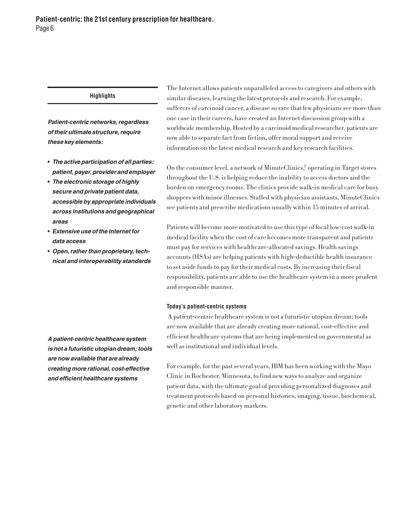*Patient-centric networks, regardless of their ultimate structure, require these key elements:*

- **•** *The active participation of all parties: patient, payer, provider and employer*
- **•** *The electronic storage of highly secure and private patient data, accessible by appropriate individuals across institutions and geographical areas*
- **•** *Extensive use of the Internet for data access*
- **•** *Open, rather than proprietary, technical and interoperability standards*

*A patient-centric healthcare system is not a futuristic utopian dream; tools are now available that are already creating more rational, cost-effective and efficient healthcare systems*

The Internet allows patients unparalleled access to caregivers and others with similar diseases, learning the latest protocols and research. For example, sufferers of carcinoid cancer, a disease so rare that few physicians see more than one case in their careers, have created an Internet discussion group with a worldwide membership. Hosted by a carcinoid medical researcher, patients are now able to separate fact from fiction, offer moral support and receive information on the latest medical research and key research facilities.

On the consumer level, a network of MinuteClinics,<sup>5</sup> operating in Target stores throughout the U.S. is helping reduce the inability to access doctors and the burden on emergency rooms. The clinics provide walk-in medical care for busy shoppers with minor illnesses. Staffed with physician assistants, MinuteClinics see patients and prescribe medications usually within 15 minutes of arrival.

Patients will become more motivated to use this type of local low-cost walk-in medical facility when the cost of care becomes more transparent and patients must pay for services with healthcare-allocated savings. Health savings accounts (HSAs) are helping patients with high-deductible health insurance to set aside funds to pay for their medical costs. By increasing their fiscal responsibility, patients are able to use the healthcare system in a more prudent and responsible manner.

## **Today's patient-centric systems**

 A patient-centric healthcare system is not a futuristic utopian dream; tools are now available that are already creating more rational, cost-effective and efficient healthcare systems that are being implemented on governmental as well as institutional and individual levels.

For example, for the past several years, IBM has been working with the Mayo Clinic in Rochester, Minnesota, to find new ways to analyze and organize patient data, with the ultimate goal of providing personalized diagnoses and treatment protocols based on personal histories, imaging, tissue, biochemical, genetic and other laboratory markers.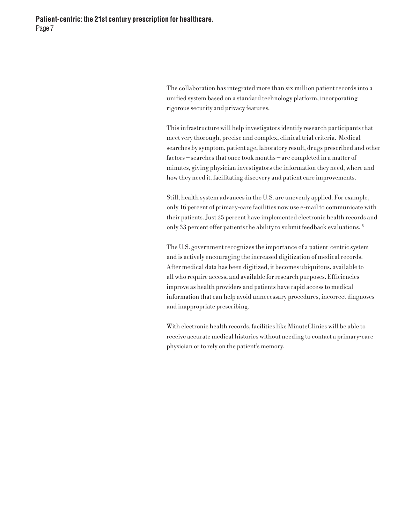The collaboration has integrated more than six million patient records into a unified system based on a standard technology platform, incorporating rigorous security and privacy features.

This infrastructure will help investigators identify research participants that meet very thorough, precise and complex, clinical trial criteria. Medical searches by symptom, patient age, laboratory result, drugs prescribed and other factors—searches that once took months—are completed in a matter of minutes, giving physician investigators the information they need, where and how they need it, facilitating discovery and patient care improvements.

Still, health system advances in the U.S. are unevenly applied. For example, only 16 percent of primary-care facilities now use e-mail to communicate with their patients. Just 25 percent have implemented electronic health records and only 33 percent offer patients the ability to submit feedback evaluations. <sup>6</sup>

The U.S. government recognizes the importance of a patient-centric system and is actively encouraging the increased digitization of medical records. After medical data has been digitized, it becomes ubiquitous, available to all who require access, and available for research purposes. Efficiencies improve as health providers and patients have rapid access to medical information that can help avoid unnecessary procedures, incorrect diagnoses and inappropriate prescribing.

With electronic health records, facilities like MinuteClinics will be able to receive accurate medical histories without needing to contact a primary-care physician or to rely on the patient's memory.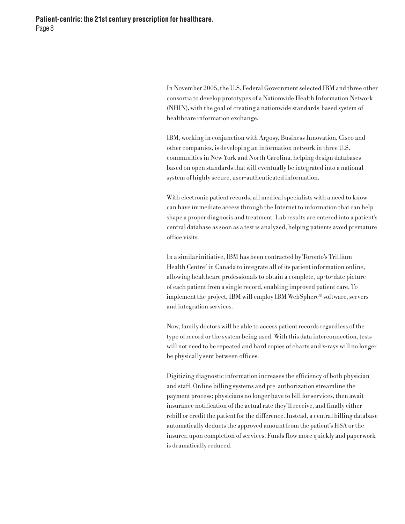In November 2005, the U.S. Federal Government selected IBM and three other consortia to develop prototypes of a Nationwide Health Information Network (NHIN), with the goal of creating a nationwide standards-based system of healthcare information exchange.

IBM, working in conjunction with Argosy, Business Innovation, Cisco and other companies, is developing an information network in three U.S. communities in New York and North Carolina, helping design databases based on open standards that will eventually be integrated into a national system of highly secure, user-authenticated information.

With electronic patient records, all medical specialists with a need to know can have immediate access through the Internet to information that can help shape a proper diagnosis and treatment. Lab results are entered into a patient's central database as soon as a test is analyzed, helping patients avoid premature office visits.

In a similar initiative, IBM has been contracted by Toronto's Trillium Health Centre<sup>7</sup> in Canada to integrate all of its patient information online, allowing healthcare professionals to obtain a complete, up-to-date picture of each patient from a single record, enabling improved patient care. To implement the project, IBM will employ IBM WebSphere® software, servers and integration services.

Now, family doctors will be able to access patient records regardless of the type of record or the system being used. With this data interconnection, tests will not need to be repeated and hard copies of charts and x-rays will no longer be physically sent between offices.

Digitizing diagnostic information increases the efficiency of both physician and staff. Online billing systems and pre-authorization streamline the payment process; physicians no longer have to bill for services, then await insurance notification of the actual rate they'll receive, and finally either rebill or credit the patient for the difference. Instead, a central billing database automatically deducts the approved amount from the patient's HSA or the insurer, upon completion of services. Funds flow more quickly and paperwork is dramatically reduced.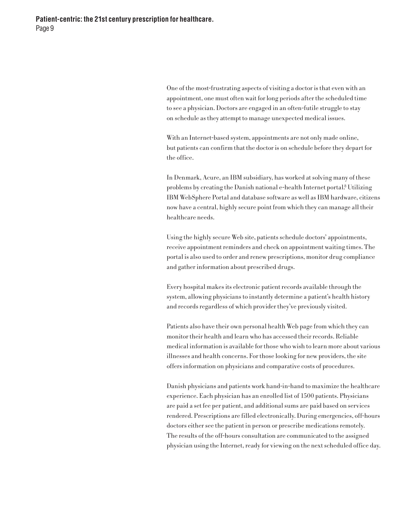One of the most-frustrating aspects of visiting a doctor is that even with an appointment, one must often wait for long periods after the scheduled time to see a physician. Doctors are engaged in an often-futile struggle to stay on schedule as they attempt to manage unexpected medical issues.

With an Internet-based system, appointments are not only made online, but patients can confirm that the doctor is on schedule before they depart for the office.

In Denmark, Acure, an IBM subsidiary, has worked at solving many of these problems by creating the Danish national e-health Internet portal.<sup>8</sup> Utilizing IBM WebSphere Portal and database software as well as IBM hardware, citizens now have a central, highly secure point from which they can manage all their healthcare needs.

Using the highly secure Web site, patients schedule doctors' appointments, receive appointment reminders and check on appointment waiting times. The portal is also used to order and renew prescriptions, monitor drug compliance and gather information about prescribed drugs.

Every hospital makes its electronic patient records available through the system, allowing physicians to instantly determine a patient's health history and records regardless of which provider they've previously visited.

Patients also have their own personal health Web page from which they can monitor their health and learn who has accessed their records. Reliable medical information is available for those who wish to learn more about various illnesses and health concerns. For those looking for new providers, the site offers information on physicians and comparative costs of procedures.

Danish physicians and patients work hand-in-hand to maximize the healthcare experience. Each physician has an enrolled list of 1500 patients. Physicians are paid a set fee per patient, and additional sums are paid based on services rendered. Prescriptions are filled electronically. During emergencies, off-hours doctors either see the patient in person or prescribe medications remotely. The results of the off-hours consultation are communicated to the assigned physician using the Internet, ready for viewing on the next scheduled office day.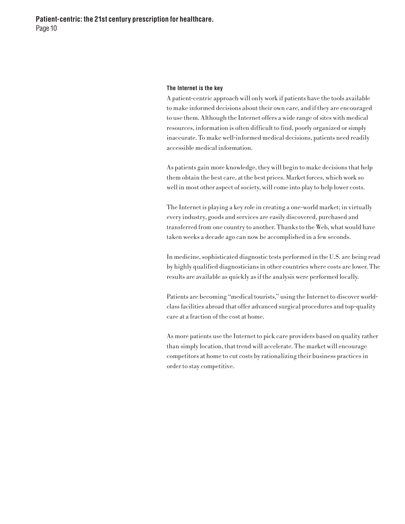#### **The Internet is the key**

A patient-centric approach will only work if patients have the tools available to make informed decisions about their own care, and if they are encouraged to use them. Although the Internet offers a wide range of sites with medical resources, information is often difficult to find, poorly organized or simply inaccurate. To make well-informed medical decisions, patients need readily accessible medical information.

As patients gain more knowledge, they will begin to make decisions that help them obtain the best care, at the best prices. Market forces, which work so well in most other aspect of society, will come into play to help lower costs.

The Internet is playing a key role in creating a one-world market; in virtually every industry, goods and services are easily discovered, purchased and transferred from one country to another. Thanks to the Web, what would have taken weeks a decade ago can now be accomplished in a few seconds.

In medicine, sophisticated diagnostic tests performed in the U.S. are being read by highly qualified diagnosticians in other countries where costs are lower. The results are available as quickly as if the analysis were performed locally.

Patients are becoming "medical tourists," using the Internet to discover worldclass facilities abroad that offer advanced surgical procedures and top-quality care at a fraction of the cost at home.

As more patients use the Internet to pick care providers based on quality rather than simply location, that trend will accelerate. The market will encourage competitors at home to cut costs by rationalizing their business practices in order to stay competitive.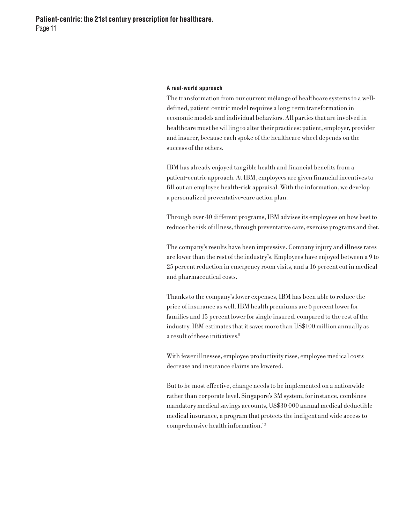**Patient-centric: the 21st century prescription for healthcare.** Page 11

#### **A real-world approach**

The transformation from our current mélange of healthcare systems to a welldefined, patient-centric model requires a long-term transformation in economic models and individual behaviors. All parties that are involved in healthcare must be willing to alter their practices: patient, employer, provider and insurer, because each spoke of the healthcare wheel depends on the success of the others.

IBM has already enjoyed tangible health and financial benefits from a patient-centric approach. At IBM, employees are given financial incentives to fill out an employee health-risk appraisal. With the information, we develop a personalized preventative-care action plan.

Through over 40 different programs, IBM advises its employees on how best to reduce the risk of illness, through preventative care, exercise programs and diet.

The company's results have been impressive. Company injury and illness rates are lower than the rest of the industry's. Employees have enjoyed between a 9 to 25 percent reduction in emergency room visits, and a 16 percent cut in medical and pharmaceutical costs.

Thanks to the company's lower expenses, IBM has been able to reduce the price of insurance as well. IBM health premiums are 6 percent lower for families and 15 percent lower for single insured, compared to the rest of the industry. IBM estimates that it saves more than US\$100 million annually as a result of these initiatives.<sup>9</sup>

With fewer illnesses, employee productivity rises, employee medical costs decrease and insurance claims are lowered.

But to be most effective, change needs to be implemented on a nationwide rather than corporate level. Singapore's 3M system, for instance, combines mandatory medical savings accounts, US\$30 000 annual medical deductible medical insurance, a program that protects the indigent and wide access to comprehensive health information.10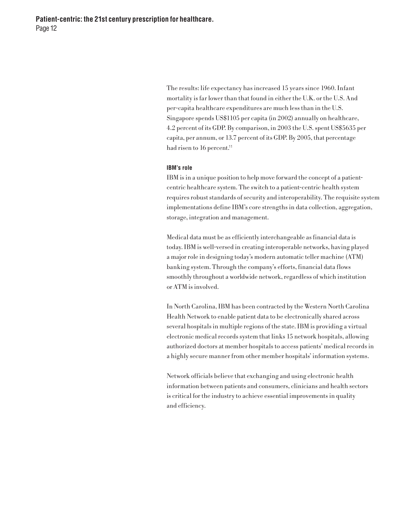The results: life expectancy has increased 15 years since 1960. Infant mortality is far lower than that found in either the U.K. or the U.S. And per-capita healthcare expenditures are much less than in the U.S. Singapore spends US\$1105 per capita (in 2002) annually on healthcare, 4.2 percent of its GDP. By comparison, in 2003 the U.S. spent US\$5635 per capita, per annum, or 13.7 percent of its GDP. By 2005, that percentage had risen to 16 percent. 11

### **IBM's role**

IBM is in a unique position to help move forward the concept of a patientcentric healthcare system. The switch to a patient-centric health system requires robust standards of security and interoperability. The requisite system implementations define IBM's core strengths in data collection, aggregation, storage, integration and management.

Medical data must be as efficiently interchangeable as financial data is today. IBM is well-versed in creating interoperable networks, having played a major role in designing today's modern automatic teller machine (ATM) banking system. Through the company's efforts, financial data flows smoothly throughout a worldwide network, regardless of which institution or ATM is involved.

In North Carolina, IBM has been contracted by the Western North Carolina Health Network to enable patient data to be electronically shared across several hospitals in multiple regions of the state. IBM is providing a virtual electronic medical records system that links 15 network hospitals, allowing authorized doctors at member hospitals to access patients' medical records in a highly secure manner from other member hospitals' information systems.

Network officials believe that exchanging and using electronic health information between patients and consumers, clinicians and health sectors is critical for the industry to achieve essential improvements in quality and efficiency.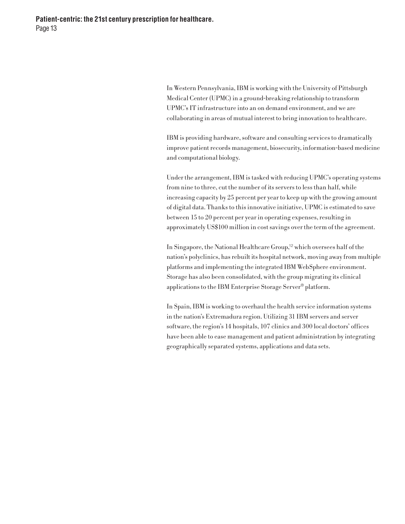In Western Pennsylvania, IBM is working with the University of Pittsburgh Medical Center (UPMC) in a ground-breaking relationship to transform UPMC's IT infrastructure into an on demand environment, and we are collaborating in areas of mutual interest to bring innovation to healthcare.

IBM is providing hardware, software and consulting services to dramatically improve patient records management, biosecurity, information-based medicine and computational biology.

Under the arrangement, IBM is tasked with reducing UPMC's operating systems from nine to three, cut the number of its servers to less than half, while increasing capacity by 25 percent per year to keep up with the growing amount of digital data. Thanks to this innovative initiative, UPMC is estimated to save between 15 to 20 percent per year in operating expenses, resulting in approximately US\$100 million in cost savings over the term of the agreement.

In Singapore, the National Healthcare Group, <sup>12</sup> which oversees half of the nation's polyclinics, has rebuilt its hospital network, moving away from multiple platforms and implementing the integrated IBM WebSphere environment. Storage has also been consolidated, with the group migrating its clinical applications to the IBM Enterprise Storage Server® platform.

In Spain, IBM is working to overhaul the health service information systems in the nation's Extremadura region. Utilizing 31 IBM servers and server software, the region's 14 hospitals, 107 clinics and 300 local doctors' offices have been able to ease management and patient administration by integrating geographically separated systems, applications and data sets.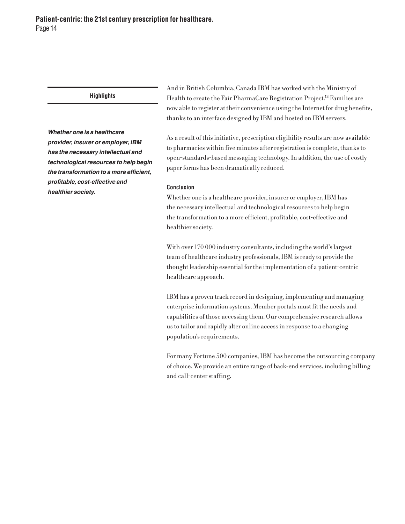*Whether one is a healthcare provider, insurer or employer, IBM has the necessary intellectual and technological resources to help begin the transformation to a more efficient, profitable, cost-effective and healthier society.*

And in British Columbia, Canada IBM has worked with the Ministry of Health to create the Fair PharmaCare Registration Project. <sup>13</sup> Families are now able to register at their convenience using the Internet for drug benefits, thanks to an interface designed by IBM and hosted on IBM servers.

As a result of this initiative, prescription eligibility results are now available to pharmacies within five minutes after registration is complete, thanks to open-standards-based messaging technology. In addition, the use of costly paper forms has been dramatically reduced.

### **Conclusion**

Whether one is a healthcare provider, insurer or employer, IBM has the necessary intellectual and technological resources to help begin the transformation to a more efficient, profitable, cost-effective and healthier society.

With over 170 000 industry consultants, including the world's largest team of healthcare industry professionals, IBM is ready to provide the thought leadership essential for the implementation of a patient-centric healthcare approach.

IBM has a proven track record in designing, implementing and managing enterprise information systems. Member portals must fit the needs and capabilities of those accessing them. Our comprehensive research allows us to tailor and rapidly alter online access in response to a changing population's requirements.

For many Fortune 500 companies, IBM has become the outsourcing company of choice. We provide an entire range of back-end services, including billing and call-center staffing.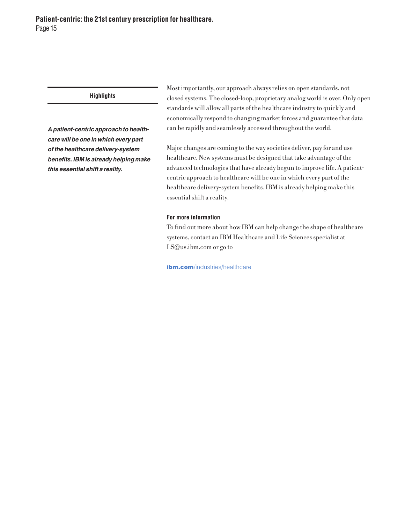*A patient-centric approach to healthcare will be one in which every part of the healthcare delivery-system benefits. IBM is already helping make this essential shift a reality.*

Most importantly, our approach always relies on open standards, not closed systems. The closed-loop, proprietary analog world is over. Only open standards will allow all parts of the healthcare industry to quickly and economically respond to changing market forces and guarantee that data can be rapidly and seamlessly accessed throughout the world.

Major changes are coming to the way societies deliver, pay for and use healthcare. New systems must be designed that take advantage of the advanced technologies that have already begun to improve life. A patientcentric approach to healthcare will be one in which every part of the healthcare delivery-system benefits. IBM is already helping make this essential shift a reality.

# **For more information**

To find out more about how IBM can help change the shape of healthcare systems, contact an IBM Healthcare and Life Sciences specialist at LS@us.ibm.com or go to

ibm.com/industries/healthcare